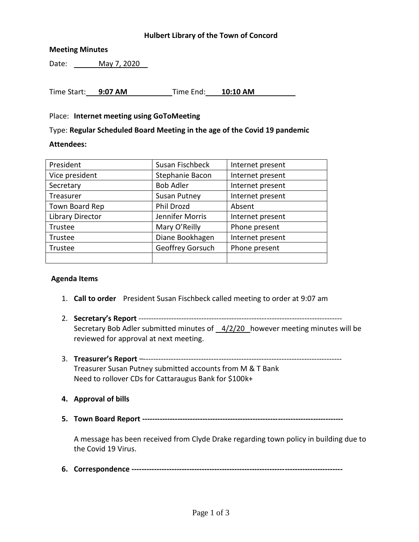### **Hulbert Library of the Town of Concord**

### **Meeting Minutes**

Date: May 7, 2020

Time Start: **9:07 AM** Time End: **10:10 AM**

#### Place: **Internet meeting using GoToMeeting**

Type: **Regular Scheduled Board Meeting in the age of the Covid 19 pandemic**

#### **Attendees:**

| President               | Susan Fischbeck     | Internet present |
|-------------------------|---------------------|------------------|
| Vice president          | Stephanie Bacon     | Internet present |
| Secretary               | <b>Bob Adler</b>    | Internet present |
| Treasurer               | <b>Susan Putney</b> | Internet present |
| Town Board Rep          | Phil Drozd          | Absent           |
| <b>Library Director</b> | Jennifer Morris     | Internet present |
| Trustee                 | Mary O'Reilly       | Phone present    |
| Trustee                 | Diane Bookhagen     | Internet present |
| Trustee                 | Geoffrey Gorsuch    | Phone present    |
|                         |                     |                  |

#### **Agenda Items**

- 1. **Call to order** President Susan Fischbeck called meeting to order at 9:07 am
- 2. **Secretary's Report** --------------------------------------------------------------------------------- Secretary Bob Adler submitted minutes of  $4/2/20$  however meeting minutes will be reviewed for approval at next meeting.
- 3. **Treasurer's Report** –------------------------------------------------------------------------------- Treasurer Susan Putney submitted accounts from M & T Bank Need to rollover CDs for Cattaraugus Bank for \$100k+
- **4. Approval of bills**
- **5. Town Board Report --------------------------------------------------------------------------------**

A message has been received from Clyde Drake regarding town policy in building due to the Covid 19 Virus.

**6. Correspondence ------------------------------------------------------------------------------------**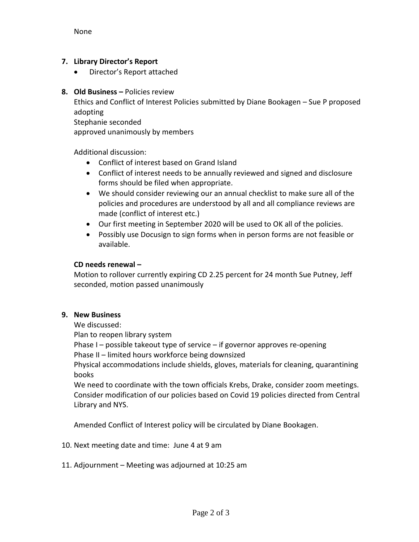## **7. Library Director's Report**

Director's Report attached

### **8. Old Business –** Policies review

Ethics and Conflict of Interest Policies submitted by Diane Bookagen – Sue P proposed adopting

Stephanie seconded

approved unanimously by members

Additional discussion:

- Conflict of interest based on Grand Island
- Conflict of interest needs to be annually reviewed and signed and disclosure forms should be filed when appropriate.
- We should consider reviewing our an annual checklist to make sure all of the policies and procedures are understood by all and all compliance reviews are made (conflict of interest etc.)
- Our first meeting in September 2020 will be used to OK all of the policies.
- Possibly use Docusign to sign forms when in person forms are not feasible or available.

## **CD needs renewal –**

Motion to rollover currently expiring CD 2.25 percent for 24 month Sue Putney, Jeff seconded, motion passed unanimously

# **9. New Business**

We discussed:

Plan to reopen library system

Phase I – possible takeout type of service – if governor approves re-opening Phase II – limited hours workforce being downsized

Physical accommodations include shields, gloves, materials for cleaning, quarantining books

We need to coordinate with the town officials Krebs, Drake, consider zoom meetings. Consider modification of our policies based on Covid 19 policies directed from Central Library and NYS.

Amended Conflict of Interest policy will be circulated by Diane Bookagen.

- 10. Next meeting date and time: June 4 at 9 am
- 11. Adjournment Meeting was adjourned at 10:25 am